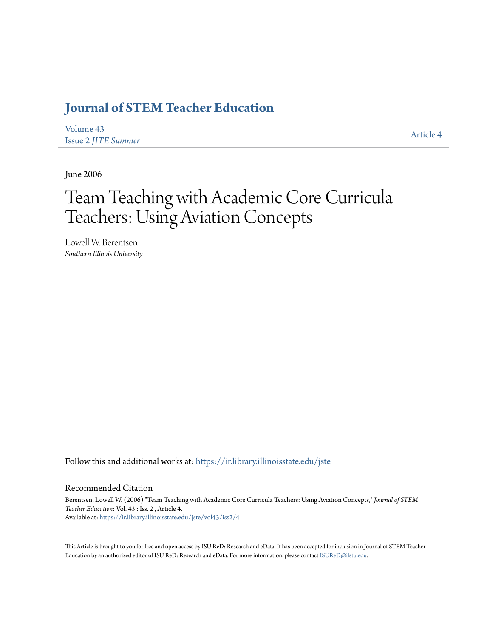# **[Journal of STEM Teacher Education](https://ir.library.illinoisstate.edu/jste?utm_source=ir.library.illinoisstate.edu%2Fjste%2Fvol43%2Fiss2%2F4&utm_medium=PDF&utm_campaign=PDFCoverPages)**

| Volume 43                  |  |
|----------------------------|--|
| <b>Issue 2 JITE Summer</b> |  |

[Article 4](https://ir.library.illinoisstate.edu/jste/vol43/iss2/4?utm_source=ir.library.illinoisstate.edu%2Fjste%2Fvol43%2Fiss2%2F4&utm_medium=PDF&utm_campaign=PDFCoverPages)

June 2006

# Team Teaching with Academic Core Curricula Teachers: Using Aviation Concepts

Lowell W. Berentsen *Southern Illinois University*

Follow this and additional works at: [https://ir.library.illinoisstate.edu/jste](https://ir.library.illinoisstate.edu/jste?utm_source=ir.library.illinoisstate.edu%2Fjste%2Fvol43%2Fiss2%2F4&utm_medium=PDF&utm_campaign=PDFCoverPages)

# Recommended Citation

Berentsen, Lowell W. (2006) "Team Teaching with Academic Core Curricula Teachers: Using Aviation Concepts," *Journal of STEM Teacher Education*: Vol. 43 : Iss. 2 , Article 4. Available at: [https://ir.library.illinoisstate.edu/jste/vol43/iss2/4](https://ir.library.illinoisstate.edu/jste/vol43/iss2/4?utm_source=ir.library.illinoisstate.edu%2Fjste%2Fvol43%2Fiss2%2F4&utm_medium=PDF&utm_campaign=PDFCoverPages)

This Article is brought to you for free and open access by ISU ReD: Research and eData. It has been accepted for inclusion in Journal of STEM Teacher Education by an authorized editor of ISU ReD: Research and eData. For more information, please contact [ISUReD@ilstu.edu.](mailto:ISUReD@ilstu.edu)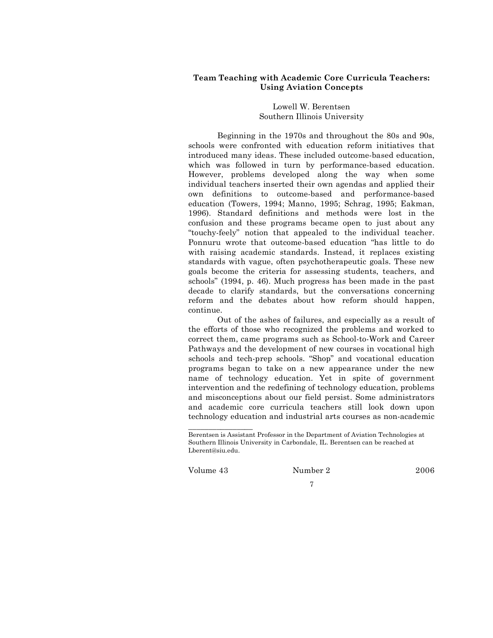# **Team Teaching with Academic Core Curricula Teachers: Using Aviation Concepts**

## Lowell W. Berentsen Southern Illinois University

Beginning in the 1970s and throughout the 80s and 90s, schools were confronted with education reform initiatives that introduced many ideas. These included outcome-based education, which was followed in turn by performance-based education. However, problems developed along the way when some individual teachers inserted their own agendas and applied their own definitions to outcome-based and performance-based education (Towers, 1994; Manno, 1995; Schrag, 1995; Eakman, 1996). Standard definitions and methods were lost in the confusion and these programs became open to just about any "touchy-feely" notion that appealed to the individual teacher. Ponnuru wrote that outcome-based education "has little to do with raising academic standards. Instead, it replaces existing standards with vague, often psychotherapeutic goals. These new goals become the criteria for assessing students, teachers, and schools" (1994, p. 46). Much progress has been made in the past decade to clarify standards, but the conversations concerning reform and the debates about how reform should happen, continue.

Out of the ashes of failures, and especially as a result of the efforts of those who recognized the problems and worked to correct them, came programs such as School-to-Work and Career Pathways and the development of new courses in vocational high schools and tech-prep schools. "Shop" and vocational education programs began to take on a new appearance under the new name of technology education. Yet in spite of government intervention and the redefining of technology education, problems and misconceptions about our field persist. Some administrators and academic core curricula teachers still look down upon technology education and industrial arts courses as non-academic

Volume 43 Number 2 2006

\_\_\_\_\_\_\_\_\_\_\_\_\_\_\_\_

7

Berentsen is Assistant Professor in the Department of Aviation Technologies at Southern Illinois University in Carbondale, IL. Berentsen can be reached at Lberent@siu.edu.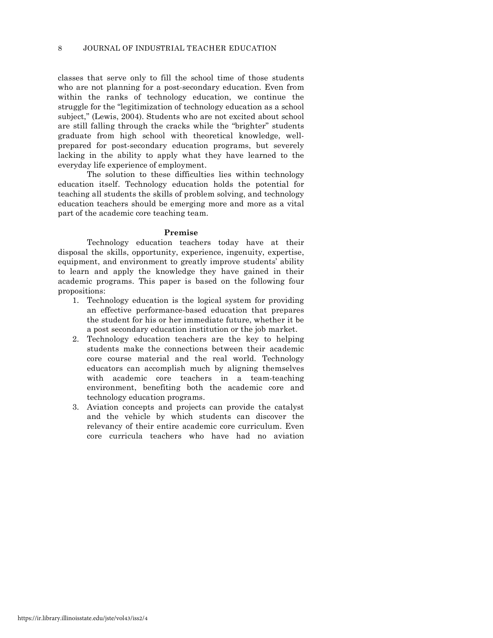classes that serve only to fill the school time of those students who are not planning for a post-secondary education. Even from within the ranks of technology education, we continue the struggle for the "legitimization of technology education as a school subject," (Lewis, 2004). Students who are not excited about school are still falling through the cracks while the "brighter" students graduate from high school with theoretical knowledge, wellprepared for post-secondary education programs, but severely lacking in the ability to apply what they have learned to the everyday life experience of employment.

The solution to these difficulties lies within technology education itself. Technology education holds the potential for teaching all students the skills of problem solving, and technology education teachers should be emerging more and more as a vital part of the academic core teaching team.

#### **Premise**

Technology education teachers today have at their disposal the skills, opportunity, experience, ingenuity, expertise, equipment, and environment to greatly improve students' ability to learn and apply the knowledge they have gained in their academic programs. This paper is based on the following four propositions:

- 1. Technology education is the logical system for providing an effective performance-based education that prepares the student for his or her immediate future, whether it be a post secondary education institution or the job market.
- 2. Technology education teachers are the key to helping students make the connections between their academic core course material and the real world. Technology educators can accomplish much by aligning themselves with academic core teachers in a team-teaching environment, benefiting both the academic core and technology education programs.
- 3. Aviation concepts and projects can provide the catalyst and the vehicle by which students can discover the relevancy of their entire academic core curriculum. Even core curricula teachers who have had no aviation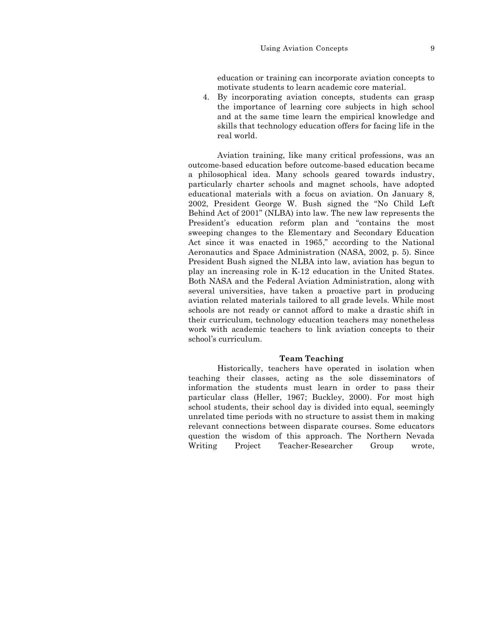education or training can incorporate aviation concepts to motivate students to learn academic core material.

4. By incorporating aviation concepts, students can grasp the importance of learning core subjects in high school and at the same time learn the empirical knowledge and skills that technology education offers for facing life in the real world.

Aviation training, like many critical professions, was an outcome-based education before outcome-based education became a philosophical idea. Many schools geared towards industry, particularly charter schools and magnet schools, have adopted educational materials with a focus on aviation. On January 8, 2002, President George W. Bush signed the "No Child Left Behind Act of 2001" (NLBA) into law. The new law represents the President's education reform plan and "contains the most sweeping changes to the Elementary and Secondary Education Act since it was enacted in 1965," according to the National Aeronautics and Space Administration (NASA, 2002, p. 5). Since President Bush signed the NLBA into law, aviation has begun to play an increasing role in K-12 education in the United States. Both NASA and the Federal Aviation Administration, along with several universities, have taken a proactive part in producing aviation related materials tailored to all grade levels. While most schools are not ready or cannot afford to make a drastic shift in their curriculum, technology education teachers may nonetheless work with academic teachers to link aviation concepts to their school's curriculum.

#### **Team Teaching**

Historically, teachers have operated in isolation when teaching their classes, acting as the sole disseminators of information the students must learn in order to pass their particular class (Heller, 1967; Buckley, 2000). For most high school students, their school day is divided into equal, seemingly unrelated time periods with no structure to assist them in making relevant connections between disparate courses. Some educators question the wisdom of this approach. The Northern Nevada Writing Project Teacher-Researcher Group wrote,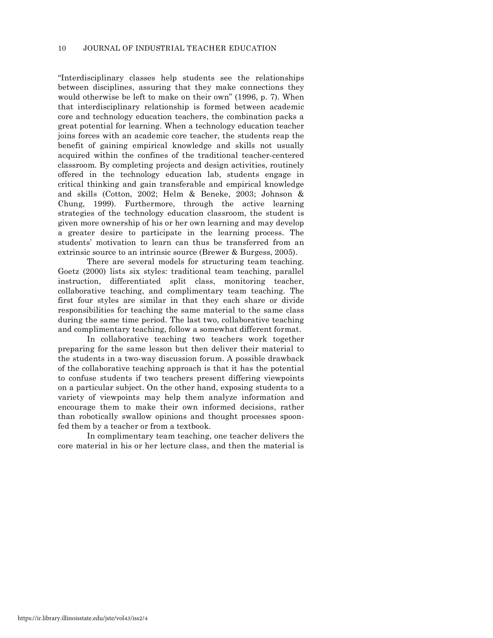"Interdisciplinary classes help students see the relationships between disciplines, assuring that they make connections they would otherwise be left to make on their own" (1996, p. 7). When that interdisciplinary relationship is formed between academic core and technology education teachers, the combination packs a great potential for learning. When a technology education teacher joins forces with an academic core teacher, the students reap the benefit of gaining empirical knowledge and skills not usually acquired within the confines of the traditional teacher-centered classroom. By completing projects and design activities, routinely offered in the technology education lab, students engage in critical thinking and gain transferable and empirical knowledge and skills (Cotton, 2002; Helm & Beneke, 2003; Johnson & Chung, 1999). Furthermore, through the active learning strategies of the technology education classroom, the student is given more ownership of his or her own learning and may develop a greater desire to participate in the learning process. The students' motivation to learn can thus be transferred from an extrinsic source to an intrinsic source (Brewer & Burgess, 2005).

There are several models for structuring team teaching. Goetz (2000) lists six styles: traditional team teaching, parallel instruction, differentiated split class, monitoring teacher, collaborative teaching, and complimentary team teaching. The first four styles are similar in that they each share or divide responsibilities for teaching the same material to the same class during the same time period. The last two, collaborative teaching and complimentary teaching, follow a somewhat different format.

In collaborative teaching two teachers work together preparing for the same lesson but then deliver their material to the students in a two-way discussion forum. A possible drawback of the collaborative teaching approach is that it has the potential to confuse students if two teachers present differing viewpoints on a particular subject. On the other hand, exposing students to a variety of viewpoints may help them analyze information and encourage them to make their own informed decisions, rather than robotically swallow opinions and thought processes spoonfed them by a teacher or from a textbook.

In complimentary team teaching, one teacher delivers the core material in his or her lecture class, and then the material is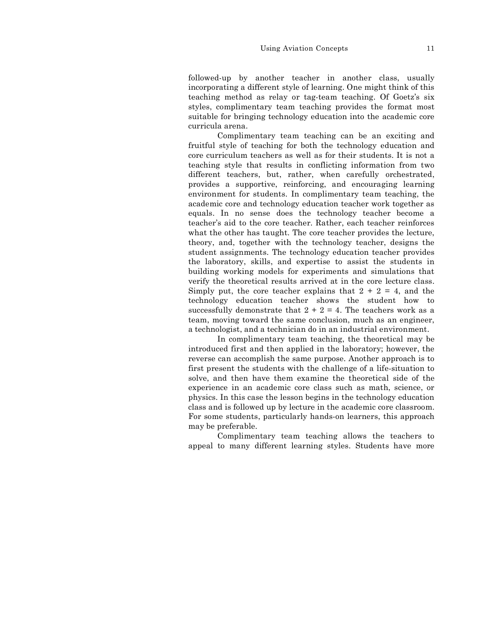followed-up by another teacher in another class, usually incorporating a different style of learning. One might think of this teaching method as relay or tag-team teaching. Of Goetz's six styles, complimentary team teaching provides the format most suitable for bringing technology education into the academic core curricula arena.

Complimentary team teaching can be an exciting and fruitful style of teaching for both the technology education and core curriculum teachers as well as for their students. It is not a teaching style that results in conflicting information from two different teachers, but, rather, when carefully orchestrated, provides a supportive, reinforcing, and encouraging learning environment for students. In complimentary team teaching, the academic core and technology education teacher work together as equals. In no sense does the technology teacher become a teacher's aid to the core teacher. Rather, each teacher reinforces what the other has taught. The core teacher provides the lecture, theory, and, together with the technology teacher, designs the student assignments. The technology education teacher provides the laboratory, skills, and expertise to assist the students in building working models for experiments and simulations that verify the theoretical results arrived at in the core lecture class. Simply put, the core teacher explains that  $2 + 2 = 4$ , and the technology education teacher shows the student how to successfully demonstrate that  $2 + 2 = 4$ . The teachers work as a team, moving toward the same conclusion, much as an engineer, a technologist, and a technician do in an industrial environment.

In complimentary team teaching, the theoretical may be introduced first and then applied in the laboratory; however, the reverse can accomplish the same purpose. Another approach is to first present the students with the challenge of a life-situation to solve, and then have them examine the theoretical side of the experience in an academic core class such as math, science, or physics. In this case the lesson begins in the technology education class and is followed up by lecture in the academic core classroom. For some students, particularly hands-on learners, this approach may be preferable.

Complimentary team teaching allows the teachers to appeal to many different learning styles. Students have more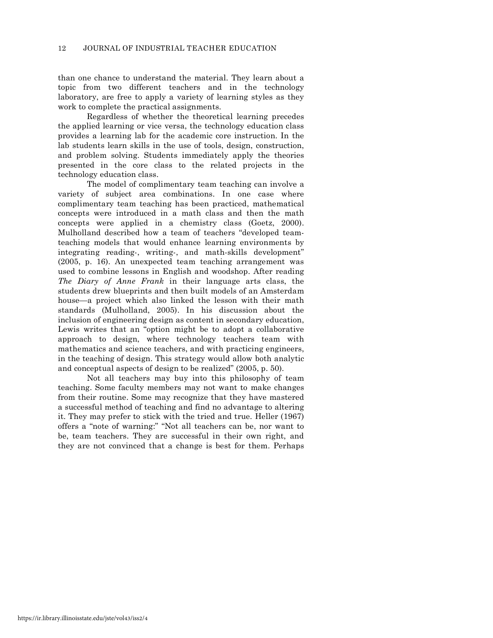than one chance to understand the material. They learn about a topic from two different teachers and in the technology laboratory, are free to apply a variety of learning styles as they work to complete the practical assignments.

Regardless of whether the theoretical learning precedes the applied learning or vice versa, the technology education class provides a learning lab for the academic core instruction. In the lab students learn skills in the use of tools, design, construction, and problem solving. Students immediately apply the theories presented in the core class to the related projects in the technology education class.

The model of complimentary team teaching can involve a variety of subject area combinations. In one case where complimentary team teaching has been practiced, mathematical concepts were introduced in a math class and then the math concepts were applied in a chemistry class (Goetz, 2000). Mulholland described how a team of teachers "developed teamteaching models that would enhance learning environments by integrating reading-, writing-, and math-skills development" (2005, p. 16). An unexpected team teaching arrangement was used to combine lessons in English and woodshop. After reading *The Diary of Anne Frank* in their language arts class, the students drew blueprints and then built models of an Amsterdam house—a project which also linked the lesson with their math standards (Mulholland, 2005). In his discussion about the inclusion of engineering design as content in secondary education, Lewis writes that an "option might be to adopt a collaborative approach to design, where technology teachers team with mathematics and science teachers, and with practicing engineers, in the teaching of design. This strategy would allow both analytic and conceptual aspects of design to be realized" (2005, p. 50).

Not all teachers may buy into this philosophy of team teaching. Some faculty members may not want to make changes from their routine. Some may recognize that they have mastered a successful method of teaching and find no advantage to altering it. They may prefer to stick with the tried and true. Heller (1967) offers a "note of warning:" "Not all teachers can be, nor want to be, team teachers. They are successful in their own right, and they are not convinced that a change is best for them. Perhaps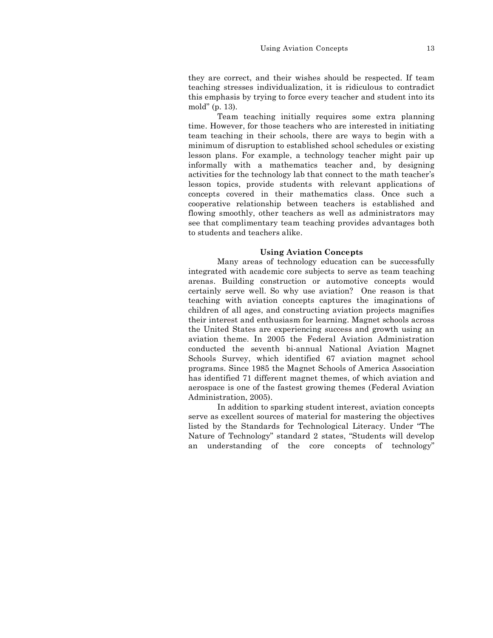they are correct, and their wishes should be respected. If team teaching stresses individualization, it is ridiculous to contradict this emphasis by trying to force every teacher and student into its mold" (p. 13).

Team teaching initially requires some extra planning time. However, for those teachers who are interested in initiating team teaching in their schools, there are ways to begin with a minimum of disruption to established school schedules or existing lesson plans. For example, a technology teacher might pair up informally with a mathematics teacher and, by designing activities for the technology lab that connect to the math teacher's lesson topics, provide students with relevant applications of concepts covered in their mathematics class. Once such a cooperative relationship between teachers is established and flowing smoothly, other teachers as well as administrators may see that complimentary team teaching provides advantages both to students and teachers alike.

#### **Using Aviation Concepts**

Many areas of technology education can be successfully integrated with academic core subjects to serve as team teaching arenas. Building construction or automotive concepts would certainly serve well. So why use aviation? One reason is that teaching with aviation concepts captures the imaginations of children of all ages, and constructing aviation projects magnifies their interest and enthusiasm for learning. Magnet schools across the United States are experiencing success and growth using an aviation theme. In 2005 the Federal Aviation Administration conducted the seventh bi-annual National Aviation Magnet Schools Survey, which identified 67 aviation magnet school programs. Since 1985 the Magnet Schools of America Association has identified 71 different magnet themes, of which aviation and aerospace is one of the fastest growing themes (Federal Aviation Administration, 2005).

In addition to sparking student interest, aviation concepts serve as excellent sources of material for mastering the objectives listed by the Standards for Technological Literacy. Under "The Nature of Technology" standard 2 states, "Students will develop an understanding of the core concepts of technology"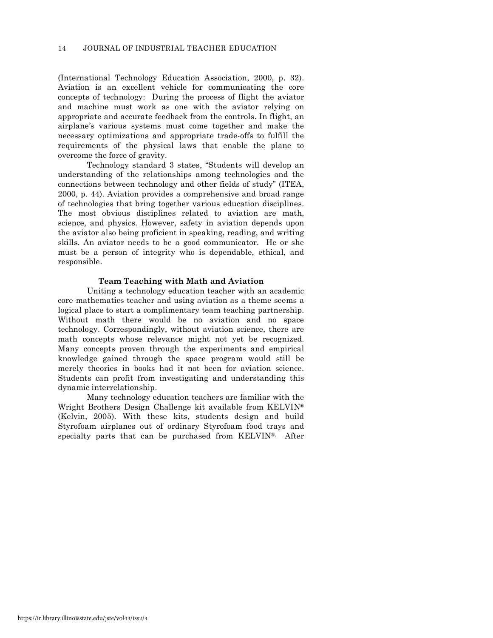(International Technology Education Association, 2000, p. 32). Aviation is an excellent vehicle for communicating the core concepts of technology: During the process of flight the aviator and machine must work as one with the aviator relying on appropriate and accurate feedback from the controls. In flight, an airplane's various systems must come together and make the necessary optimizations and appropriate trade-offs to fulfill the requirements of the physical laws that enable the plane to overcome the force of gravity.

Technology standard 3 states, "Students will develop an understanding of the relationships among technologies and the connections between technology and other fields of study" (ITEA, 2000, p. 44). Aviation provides a comprehensive and broad range of technologies that bring together various education disciplines. The most obvious disciplines related to aviation are math, science, and physics. However, safety in aviation depends upon the aviator also being proficient in speaking, reading, and writing skills. An aviator needs to be a good communicator. He or she must be a person of integrity who is dependable, ethical, and responsible.

#### **Team Teaching with Math and Aviation**

Uniting a technology education teacher with an academic core mathematics teacher and using aviation as a theme seems a logical place to start a complimentary team teaching partnership. Without math there would be no aviation and no space technology. Correspondingly, without aviation science, there are math concepts whose relevance might not yet be recognized. Many concepts proven through the experiments and empirical knowledge gained through the space program would still be merely theories in books had it not been for aviation science. Students can profit from investigating and understanding this dynamic interrelationship.

Many technology education teachers are familiar with the Wright Brothers Design Challenge kit available from KELVIN® (Kelvin, 2005). With these kits, students design and build Styrofoam airplanes out of ordinary Styrofoam food trays and specialty parts that can be purchased from KELVIN®. After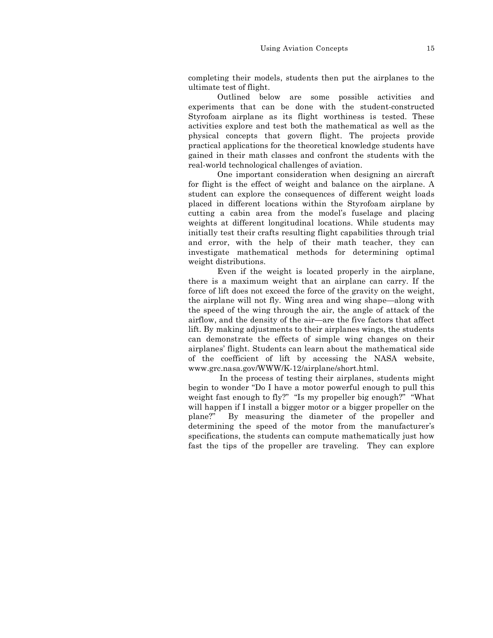completing their models, students then put the airplanes to the ultimate test of flight.

Outlined below are some possible activities and experiments that can be done with the student-constructed Styrofoam airplane as its flight worthiness is tested. These activities explore and test both the mathematical as well as the physical concepts that govern flight. The projects provide practical applications for the theoretical knowledge students have gained in their math classes and confront the students with the real-world technological challenges of aviation.

One important consideration when designing an aircraft for flight is the effect of weight and balance on the airplane. A student can explore the consequences of different weight loads placed in different locations within the Styrofoam airplane by cutting a cabin area from the model's fuselage and placing weights at different longitudinal locations. While students may initially test their crafts resulting flight capabilities through trial and error, with the help of their math teacher, they can investigate mathematical methods for determining optimal weight distributions.

Even if the weight is located properly in the airplane, there is a maximum weight that an airplane can carry. If the force of lift does not exceed the force of the gravity on the weight, the airplane will not fly. Wing area and wing shape—along with the speed of the wing through the air, the angle of attack of the airflow, and the density of the air—are the five factors that affect lift. By making adjustments to their airplanes wings, the students can demonstrate the effects of simple wing changes on their airplanes' flight. Students can learn about the mathematical side of the coefficient of lift by accessing the NASA website, www.grc.nasa.gov/WWW/K-12/airplane/short.html.

In the process of testing their airplanes, students might begin to wonder "Do I have a motor powerful enough to pull this weight fast enough to fly?" "Is my propeller big enough?" "What will happen if I install a bigger motor or a bigger propeller on the plane?" By measuring the diameter of the propeller and determining the speed of the motor from the manufacturer's specifications, the students can compute mathematically just how fast the tips of the propeller are traveling. They can explore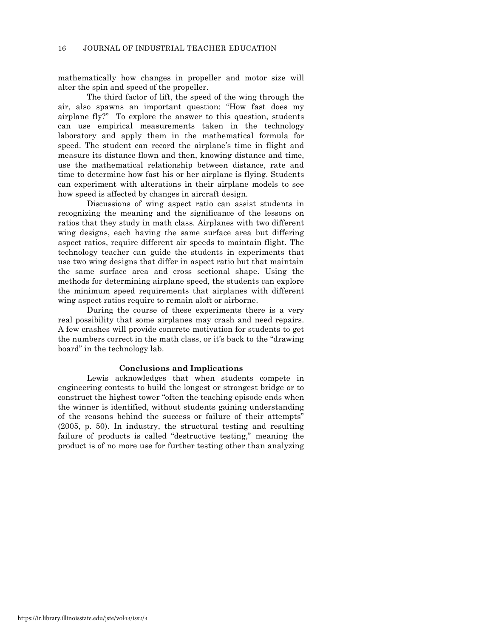mathematically how changes in propeller and motor size will alter the spin and speed of the propeller.

The third factor of lift, the speed of the wing through the air, also spawns an important question: "How fast does my airplane fly?" To explore the answer to this question, students can use empirical measurements taken in the technology laboratory and apply them in the mathematical formula for speed. The student can record the airplane's time in flight and measure its distance flown and then, knowing distance and time, use the mathematical relationship between distance, rate and time to determine how fast his or her airplane is flying. Students can experiment with alterations in their airplane models to see how speed is affected by changes in aircraft design.

Discussions of wing aspect ratio can assist students in recognizing the meaning and the significance of the lessons on ratios that they study in math class. Airplanes with two different wing designs, each having the same surface area but differing aspect ratios, require different air speeds to maintain flight. The technology teacher can guide the students in experiments that use two wing designs that differ in aspect ratio but that maintain the same surface area and cross sectional shape. Using the methods for determining airplane speed, the students can explore the minimum speed requirements that airplanes with different wing aspect ratios require to remain aloft or airborne.

During the course of these experiments there is a very real possibility that some airplanes may crash and need repairs. A few crashes will provide concrete motivation for students to get the numbers correct in the math class, or it's back to the "drawing board" in the technology lab.

## **Conclusions and Implications**

Lewis acknowledges that when students compete in engineering contests to build the longest or strongest bridge or to construct the highest tower "often the teaching episode ends when the winner is identified, without students gaining understanding of the reasons behind the success or failure of their attempts" (2005, p. 50). In industry, the structural testing and resulting failure of products is called "destructive testing," meaning the product is of no more use for further testing other than analyzing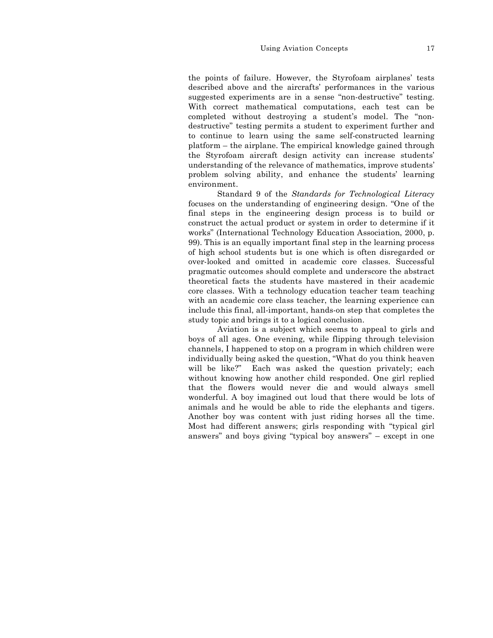#### Using Aviation Concepts 17

the points of failure. However, the Styrofoam airplanes' tests described above and the aircrafts' performances in the various suggested experiments are in a sense "non-destructive" testing. With correct mathematical computations, each test can be completed without destroying a student's model. The "nondestructive" testing permits a student to experiment further and to continue to learn using the same self-constructed learning platform – the airplane. The empirical knowledge gained through the Styrofoam aircraft design activity can increase students' understanding of the relevance of mathematics, improve students' problem solving ability, and enhance the students' learning environment.

Standard 9 of the *Standards for Technological Literacy* focuses on the understanding of engineering design. "One of the final steps in the engineering design process is to build or construct the actual product or system in order to determine if it works" (International Technology Education Association, 2000, p. 99). This is an equally important final step in the learning process of high school students but is one which is often disregarded or over-looked and omitted in academic core classes. Successful pragmatic outcomes should complete and underscore the abstract theoretical facts the students have mastered in their academic core classes. With a technology education teacher team teaching with an academic core class teacher, the learning experience can include this final, all-important, hands-on step that completes the study topic and brings it to a logical conclusion.

Aviation is a subject which seems to appeal to girls and boys of all ages. One evening, while flipping through television channels, I happened to stop on a program in which children were individually being asked the question, "What do you think heaven will be like?" Each was asked the question privately; each without knowing how another child responded. One girl replied that the flowers would never die and would always smell wonderful. A boy imagined out loud that there would be lots of animals and he would be able to ride the elephants and tigers. Another boy was content with just riding horses all the time. Most had different answers; girls responding with "typical girl answers" and boys giving "typical boy answers" – except in one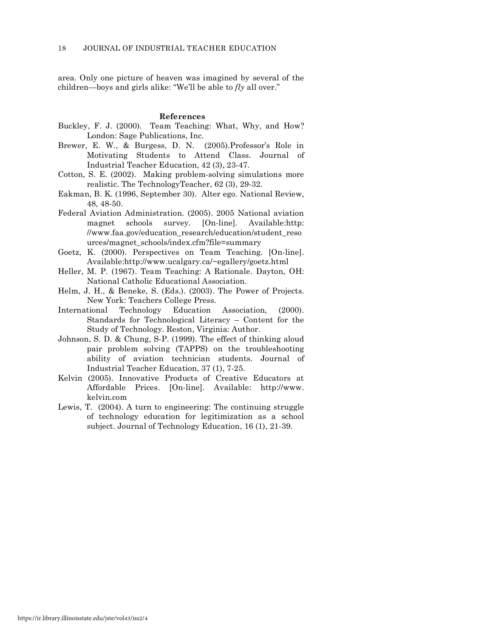area. Only one picture of heaven was imagined by several of the children—boys and girls alike: "We'll be able to *fly* all over."

#### **References**

- Buckley, F. J. (2000). Team Teaching: What, Why, and How? London: Sage Publications, Inc.
- Brewer, E. W., & Burgess, D. N. (2005).Professor's Role in Motivating Students to Attend Class. Journal of Industrial Teacher Education, 42 (3), 23-47.
- Cotton, S. E. (2002). Making problem-solving simulations more realistic. The TechnologyTeacher, 62 (3), 29-32.
- Eakman, B. K. (1996, September 30). Alter ego. National Review, 48, 48-50.
- Federal Aviation Administration. (2005). 2005 National aviation magnet schools survey. [On-line]. Available:http: //www.faa.gov/education\_research/education/student\_reso urces/magnet\_schools/index.cfm?file=summary
- Goetz, K. (2000). Perspectives on Team Teaching. [On-line]. Available:http://www.ucalgary.ca/~egallery/goetz.html
- Heller, M. P. (1967). Team Teaching: A Rationale. Dayton, OH: National Catholic Educational Association.
- Helm, J. H., & Beneke, S. (Eds.). (2003). The Power of Projects. New York: Teachers College Press.
- International Technology Education Association, (2000). Standards for Technological Literacy – Content for the Study of Technology. Reston, Virginia: Author.
- Johnson, S. D. & Chung, S-P. (1999). The effect of thinking aloud pair problem solving (TAPPS) on the troubleshooting ability of aviation technician students. Journal of Industrial Teacher Education, 37 (1), 7-25.
- Kelvin (2005). Innovative Products of Creative Educators at Affordable Prices. [On-line]. Available: http://www. kelvin.com
- Lewis, T. (2004). A turn to engineering: The continuing struggle of technology education for legitimization as a school subject. Journal of Technology Education, 16 (1), 21-39.